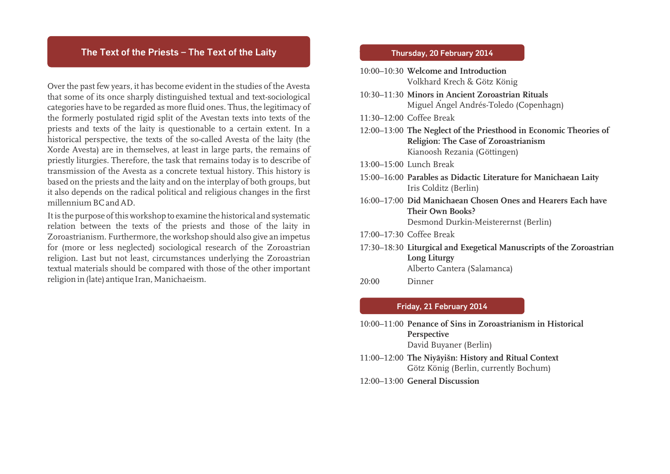### **The Text of the Priests – The Text of the Laity**

Over the past few years, it has become evident in the studies of the Avesta that some of its once sharply distinguished textual and text-sociological categories have to be regarded as more fluid ones. Thus, the legitimacy of the formerly postulated rigid split of the Avestan texts into texts of the priests and texts of the laity is questionable to a certain extent. In a historical perspective, the texts of the so-called Avesta of the laity (the Xorde Avesta) are in themselves, at least in large parts, the remains of priestly liturgies. Therefore, the task that remains today is to describe of transmission of the Avesta as a concrete textual history. This history is based on the priests and the laity and on the interplay of both groups, but it also depends on the radical political and religious changes in the first millennium BC and AD.

It is the purpose of this workshop to examine the historical and systematic relation between the texts of the priests and those of the laity in Zoroastrianism. Furthermore, the workshop should also give an impetus for (more or less neglected) sociological research of the Zoroastrian religion. Last but not least, circumstances underlying the Zoroastrian textual materials should be compared with those of the other important religion in (late) antique Iran, Manichaeism.

### Thursday 20 February 2014 **Thursday, 20 February 2014**

|                          | 10:00–10:30 Welcome and Introduction<br>Volkhard Krech & Götz König                                                                              |
|--------------------------|--------------------------------------------------------------------------------------------------------------------------------------------------|
|                          | 10:30–11:30 Minors in Ancient Zoroastrian Rituals<br>Miguel Angel Andrés-Toledo (Copenhagn)                                                      |
|                          | 11:30-12:00 Coffee Break                                                                                                                         |
|                          | 12:00–13:00 The Neglect of the Priesthood in Economic Theories of<br><b>Religion: The Case of Zoroastrianism</b><br>Kianoosh Rezania (Göttingen) |
|                          | 13:00-15:00 Lunch Break                                                                                                                          |
|                          | 15:00-16:00 Parables as Didactic Literature for Manichaean Laity<br>Iris Colditz (Berlin)                                                        |
|                          | 16:00–17:00 Did Manichaean Chosen Ones and Hearers Each have<br>Their Own Books?<br>Desmond Durkin-Meisterernst (Berlin)                         |
|                          | 17:00-17:30 Coffee Break                                                                                                                         |
|                          | 17:30-18:30 Liturgical and Exegetical Manuscripts of the Zoroastrian<br>Long Liturgy<br>Alberto Cantera (Salamanca)                              |
| 20:00                    | Dinner                                                                                                                                           |
| Friday, 21 February 2014 |                                                                                                                                                  |
|                          | 10:00–11:00 Penance of Sins in Zoroastrianism in Historical<br>Perspective                                                                       |

David Buyaner (Berlin)

- 11:00–12:00 **The Niyāyišn: History and Ritual Context** Götz König (Berlin, currently Bochum)
- 12:00–13:00 **General Discussion**